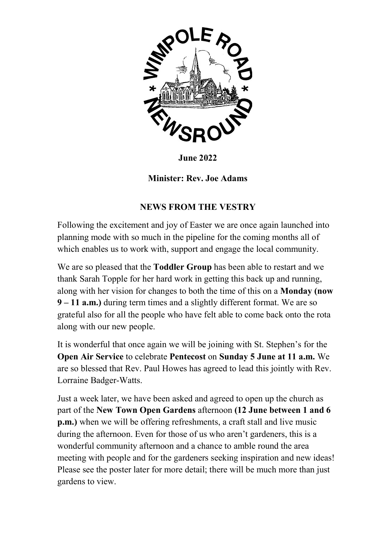

June 2022

Minister: Rev. Joe Adams

# NEWS FROM THE VESTRY

Following the excitement and joy of Easter we are once again launched into planning mode with so much in the pipeline for the coming months all of which enables us to work with, support and engage the local community.

We are so pleased that the **Toddler Group** has been able to restart and we thank Sarah Topple for her hard work in getting this back up and running, along with her vision for changes to both the time of this on a Monday (now 9 – 11 a.m.) during term times and a slightly different format. We are so grateful also for all the people who have felt able to come back onto the rota along with our new people.

It is wonderful that once again we will be joining with St. Stephen's for the Open Air Service to celebrate Pentecost on Sunday 5 June at 11 a.m. We are so blessed that Rev. Paul Howes has agreed to lead this jointly with Rev. Lorraine Badger-Watts.

Just a week later, we have been asked and agreed to open up the church as part of the New Town Open Gardens afternoon (12 June between 1 and 6 p.m.) when we will be offering refreshments, a craft stall and live music during the afternoon. Even for those of us who aren't gardeners, this is a wonderful community afternoon and a chance to amble round the area meeting with people and for the gardeners seeking inspiration and new ideas! Please see the poster later for more detail; there will be much more than just gardens to view.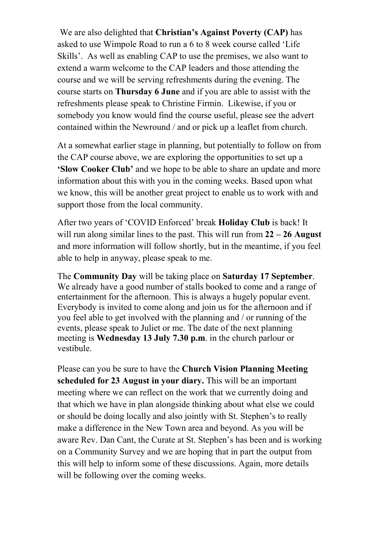We are also delighted that Christian's Against Poverty (CAP) has asked to use Wimpole Road to run a 6 to 8 week course called 'Life Skills'. As well as enabling CAP to use the premises, we also want to extend a warm welcome to the CAP leaders and those attending the course and we will be serving refreshments during the evening. The course starts on Thursday 6 June and if you are able to assist with the refreshments please speak to Christine Firmin. Likewise, if you or somebody you know would find the course useful, please see the advert contained within the Newround / and or pick up a leaflet from church.

At a somewhat earlier stage in planning, but potentially to follow on from the CAP course above, we are exploring the opportunities to set up a 'Slow Cooker Club' and we hope to be able to share an update and more information about this with you in the coming weeks. Based upon what we know, this will be another great project to enable us to work with and support those from the local community.

After two years of 'COVID Enforced' break Holiday Club is back! It will run along similar lines to the past. This will run from  $22 - 26$  August and more information will follow shortly, but in the meantime, if you feel able to help in anyway, please speak to me.

The Community Day will be taking place on Saturday 17 September. We already have a good number of stalls booked to come and a range of entertainment for the afternoon. This is always a hugely popular event. Everybody is invited to come along and join us for the afternoon and if you feel able to get involved with the planning and / or running of the events, please speak to Juliet or me. The date of the next planning meeting is Wednesday 13 July 7.30 p.m. in the church parlour or vestibule.

Please can you be sure to have the Church Vision Planning Meeting scheduled for 23 August in your diary. This will be an important meeting where we can reflect on the work that we currently doing and that which we have in plan alongside thinking about what else we could or should be doing locally and also jointly with St. Stephen's to really make a difference in the New Town area and beyond. As you will be aware Rev. Dan Cant, the Curate at St. Stephen's has been and is working on a Community Survey and we are hoping that in part the output from this will help to inform some of these discussions. Again, more details will be following over the coming weeks.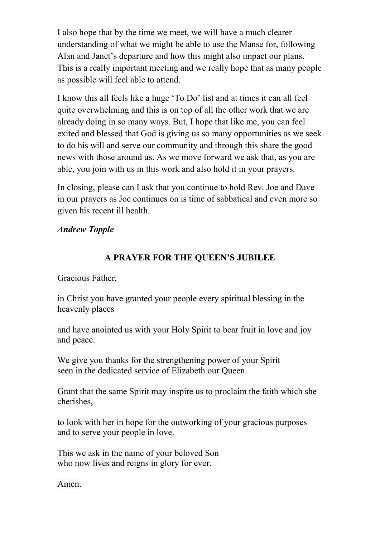I also hope that by the time we meet, we will have a much clearer understanding of what we might be able to use the Manse for, following Alan and Janet's departure and how this might also impact our plans. This is a really important meeting and we really hope that as many people as possible will feel able to attend.

I know this all feels like a huge 'To Do' list and at times it can all feel quite overwhelming and this is on top of all the other work that we are already doing in so many ways. But, I hope that like me, you can feel exited and blessed that God is giving us so many opportunities as we seek to do his will and serve our community and through this share the good news with those around us. As we move forward we ask that, as you are able, you join with us in this work and also hold it in your prayers.

In closing, please can I ask that you continue to hold Rev. Joe and Dave in our prayers as Joe continues on is time of sabbatical and even more so given his recent ill health.

## Andrew Topple

## A PRAYER FOR THE QUEEN'S JUBILEE

#### Gracious Father,

in Christ you have granted your people every spiritual blessing in the heavenly places

and have anointed us with your Holy Spirit to bear fruit in love and joy and peace.

We give you thanks for the strengthening power of your Spirit seen in the dedicated service of Elizabeth our Queen.

Grant that the same Spirit may inspire us to proclaim the faith which she cherishes,

to look with her in hope for the outworking of your gracious purposes and to serve your people in love.

This we ask in the name of your beloved Son who now lives and reigns in glory for ever.

Amen.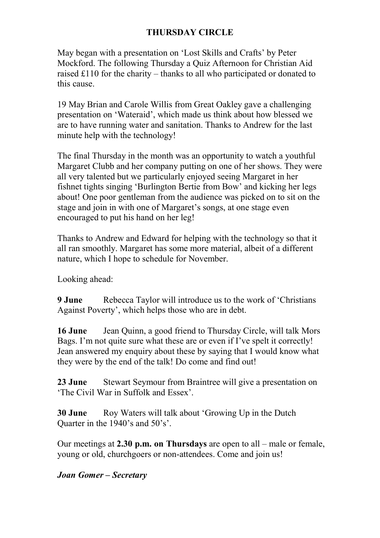# THURSDAY CIRCLE

May began with a presentation on 'Lost Skills and Crafts' by Peter Mockford. The following Thursday a Quiz Afternoon for Christian Aid raised £110 for the charity – thanks to all who participated or donated to this cause.

19 May Brian and Carole Willis from Great Oakley gave a challenging presentation on 'Wateraid', which made us think about how blessed we are to have running water and sanitation. Thanks to Andrew for the last minute help with the technology!

The final Thursday in the month was an opportunity to watch a youthful Margaret Clubb and her company putting on one of her shows. They were all very talented but we particularly enjoyed seeing Margaret in her fishnet tights singing 'Burlington Bertie from Bow' and kicking her legs about! One poor gentleman from the audience was picked on to sit on the stage and join in with one of Margaret's songs, at one stage even encouraged to put his hand on her leg!

Thanks to Andrew and Edward for helping with the technology so that it all ran smoothly. Margaret has some more material, albeit of a different nature, which I hope to schedule for November.

Looking ahead:

**9 June** Rebecca Taylor will introduce us to the work of 'Christians' Against Poverty', which helps those who are in debt.

16 June Jean Quinn, a good friend to Thursday Circle, will talk Mors Bags. I'm not quite sure what these are or even if I've spelt it correctly! Jean answered my enquiry about these by saying that I would know what they were by the end of the talk! Do come and find out!

23 June Stewart Seymour from Braintree will give a presentation on 'The Civil War in Suffolk and Essex'.

30 June Roy Waters will talk about 'Growing Up in the Dutch Quarter in the 1940's and 50's'.

Our meetings at 2.30 p.m. on Thursdays are open to all – male or female, young or old, churchgoers or non-attendees. Come and join us!

## Joan Gomer – Secretary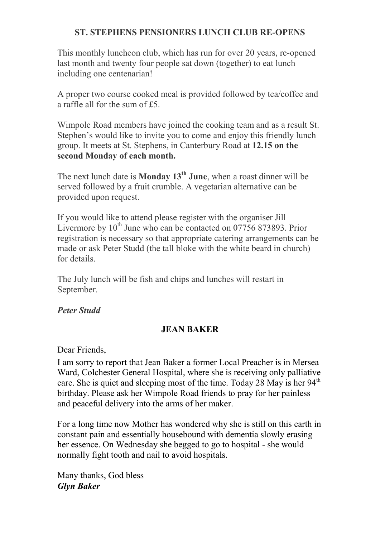## ST. STEPHENS PENSIONERS LUNCH CLUB RE-OPENS

This monthly luncheon club, which has run for over 20 years, re-opened last month and twenty four people sat down (together) to eat lunch including one centenarian!

A proper two course cooked meal is provided followed by tea/coffee and a raffle all for the sum of £5.

Wimpole Road members have joined the cooking team and as a result St. Stephen's would like to invite you to come and enjoy this friendly lunch group. It meets at St. Stephens, in Canterbury Road at 12.15 on the second Monday of each month.

The next lunch date is **Monday 13<sup>th</sup> June**, when a roast dinner will be served followed by a fruit crumble. A vegetarian alternative can be provided upon request.

If you would like to attend please register with the organiser Jill Livermore by  $10^{th}$  June who can be contacted on 07756 873893. Prior registration is necessary so that appropriate catering arrangements can be made or ask Peter Studd (the tall bloke with the white beard in church) for details.

The July lunch will be fish and chips and lunches will restart in September.

## Peter Studd

## JEAN BAKER

Dear Friends,

I am sorry to report that Jean Baker a former Local Preacher is in Mersea Ward, Colchester General Hospital, where she is receiving only palliative care. She is quiet and sleeping most of the time. Today 28 May is her  $94<sup>th</sup>$ birthday. Please ask her Wimpole Road friends to pray for her painless and peaceful delivery into the arms of her maker.

For a long time now Mother has wondered why she is still on this earth in constant pain and essentially housebound with dementia slowly erasing her essence. On Wednesday she begged to go to hospital - she would normally fight tooth and nail to avoid hospitals.

Many thanks, God bless Glyn Baker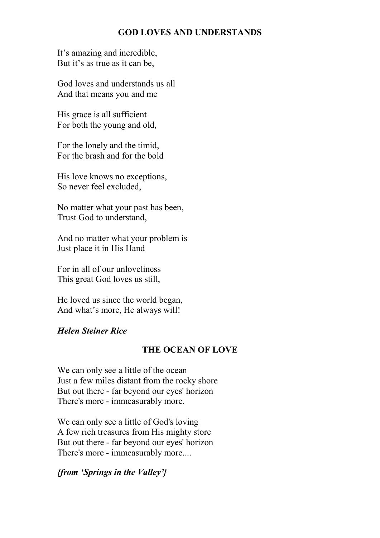## GOD LOVES AND UNDERSTANDS

It's amazing and incredible, But it's as true as it can be,

God loves and understands us all And that means you and me

His grace is all sufficient For both the young and old,

For the lonely and the timid, For the brash and for the bold

His love knows no exceptions, So never feel excluded,

No matter what your past has been, Trust God to understand,

And no matter what your problem is Just place it in His Hand

For in all of our unloveliness This great God loves us still,

He loved us since the world began, And what's more, He always will!

## Helen Steiner Rice

## THE OCEAN OF LOVE

We can only see a little of the ocean Just a few miles distant from the rocky shore But out there - far beyond our eyes' horizon There's more - immeasurably more.

We can only see a little of God's loving A few rich treasures from His mighty store But out there - far beyond our eyes' horizon There's more - immeasurably more....

#### {from 'Springs in the Valley'}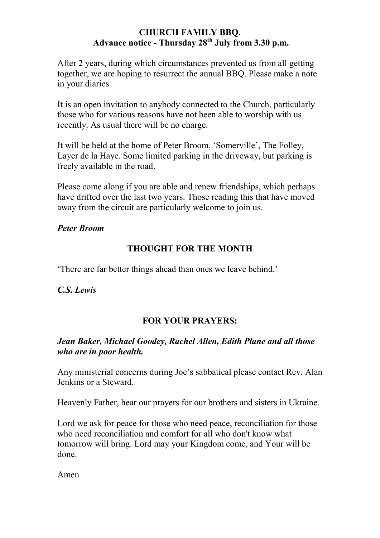## CHURCH FAMILY BBQ. Advance notice - Thursday  $28<sup>th</sup>$  July from 3.30 p.m.

After 2 years, during which circumstances prevented us from all getting together, we are hoping to resurrect the annual BBQ. Please make a note in your diaries.

It is an open invitation to anybody connected to the Church, particularly those who for various reasons have not been able to worship with us recently. As usual there will be no charge.

It will be held at the home of Peter Broom, 'Somerville', The Folley, Layer de la Haye. Some limited parking in the driveway, but parking is freely available in the road.

Please come along if you are able and renew friendships, which perhaps have drifted over the last two years. Those reading this that have moved away from the circuit are particularly welcome to join us.

Peter Broom

# THOUGHT FOR THE MONTH

'There are far better things ahead than ones we leave behind.'

C.S. Lewis

## FOR YOUR PRAYERS:

## Jean Baker, Michael Goodey, Rachel Allen, Edith Plane and all those who are in poor health.

Any ministerial concerns during Joe's sabbatical please contact Rev. Alan Jenkins or a Steward.

Heavenly Father, hear our prayers for our brothers and sisters in Ukraine.

Lord we ask for peace for those who need peace, reconciliation for those who need reconciliation and comfort for all who don't know what tomorrow will bring. Lord may your Kingdom come, and Your will be done.

Amen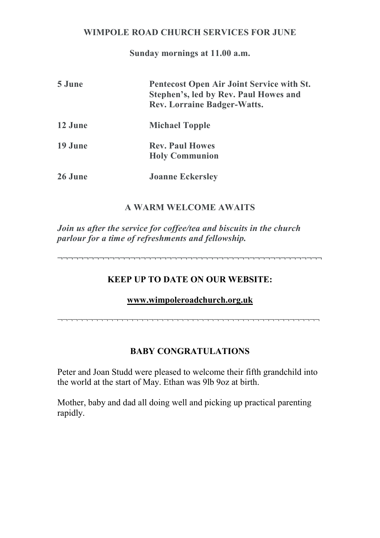## WIMPOLE ROAD CHURCH SERVICES FOR JUNE

Sunday mornings at 11.00 a.m.

| 5 June  | Pentecost Open Air Joint Service with St.<br>Stephen's, led by Rev. Paul Howes and<br><b>Rev. Lorraine Badger-Watts.</b> |
|---------|--------------------------------------------------------------------------------------------------------------------------|
| 12 June | <b>Michael Topple</b>                                                                                                    |
| 19 June | <b>Rev. Paul Howes</b><br><b>Holy Communion</b>                                                                          |
| 26 June | <b>Joanne Eckersley</b>                                                                                                  |

## A WARM WELCOME AWAITS

Join us after the service for coffee/tea and biscuits in the church parlour for a time of refreshments and fellowship.

¬¬¬¬¬¬¬¬¬¬¬¬¬¬¬¬¬¬¬¬¬¬¬¬¬¬¬¬¬¬¬¬¬¬¬¬¬¬¬¬¬¬¬¬¬¬¬¬¬¬¬

## KEEP UP TO DATE ON OUR WEBSITE:

www.wimpoleroadchurch.org.uk

¬¬¬¬¬¬¬¬¬¬¬¬¬¬¬¬¬¬¬¬¬¬¬¬¬¬¬¬¬¬¬¬¬¬¬¬¬¬¬¬¬¬¬¬¬¬¬¬¬¬¬¬

## BABY CONGRATULATIONS

Peter and Joan Studd were pleased to welcome their fifth grandchild into the world at the start of May. Ethan was 9lb 9oz at birth.

Mother, baby and dad all doing well and picking up practical parenting rapidly.